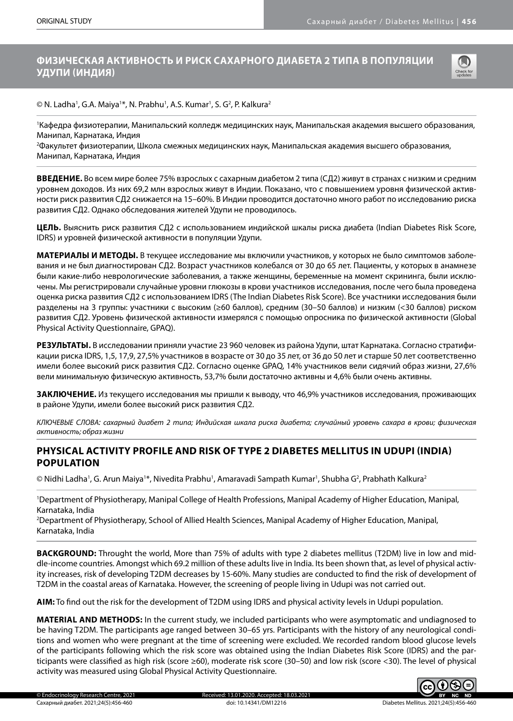# **ФИЗИЧЕСКАЯ АКТИВНОСТЬ И РИСК САХАРНОГО ДИАБЕТА 2 ТИПА В ПОПУЛЯЦИИ УДУПИ (ИНДИЯ)**



© N. Ladha', G.A. Maiya'\*, N. Prabhu', A.S. Kumar', S. G<sup>2</sup>, P. Kalkura<sup>2</sup>

1 Кафедра физиотерапии, Манипальский колледж медицинских наук, Манипальская академия высшего образования, Манипал, Карнатака, Индия

2 Факультет физиотерапии, Школа смежных медицинских наук, Манипальская академия высшего образования, Манипал, Карнатака, Индия

**ВВЕДЕНИЕ.** Во всем мире более 75% взрослых с сахарным диабетом 2 типа (СД2) живут в странах с низким и средним уровнем доходов. Из них 69,2 млн взрослых живут в Индии. Показано, что с повышением уровня физической активности риск развития СД2 снижается на 15–60%. В Индии проводится достаточно много работ по исследованию риска развития СД2. Однако обследования жителей Удупи не проводилось.

**ЦЕЛЬ.** Выяснить риск развития СД2 с использованием индийской шкалы риска диабета (Indian Diabetes Risk Score, IDRS) и уровней физической активности в популяции Удупи.

**МАТЕРИАЛЫ И МЕТОДЫ.** В текущее исследование мы включили участников, у которых не было симптомов заболевания и не был диагностирован СД2. Возраст участников колебался от 30 до 65 лет. Пациенты, у которых в анамнезе были какие-либо неврологические заболевания, а также женщины, беременные на момент скрининга, были исключены. Мы регистрировали случайные уровни глюкозы в крови участников исследования, после чего была проведена оценка риска развития СД2 с использованием IDRS (The Indian Diabetes Risk Score). Все участники исследования были разделены на 3 группы: участники с высоким (≥60 баллов), средним (30–50 баллов) и низким (<30 баллов) риском развития СД2. Уровень физической активности измерялся с помощью опросника по физической активности (Global Physical Activity Questionnaire, GPAQ).

**РЕЗУЛЬТАТЫ.** В исследовании приняли участие 23 960 человек из района Удупи, штат Карнатака. Согласно стратификации риска IDRS, 1,5, 17,9, 27,5% участников в возрасте от 30 до 35 лет, от 36 до 50 лет и старше 50 лет соответственно имели более высокий риск развития СД2. Согласно оценке GPAQ, 14% участников вели сидячий образ жизни, 27,6% вели минимальную физическую активность, 53,7% были достаточно активны и 4,6% были очень активны.

**ЗАКЛЮЧЕНИЕ.** Из текущего исследования мы пришли к выводу, что 46,9% участников исследования, проживающих в районе Удупи, имели более высокий риск развития СД2.

*КЛЮЧЕВЫЕ СЛОВА: сахарный диабет 2 типа; Индийская шкала риска диабета; случайный уровень сахара в крови; физическая активность; образ жизни*

# **PHYSICAL ACTIVITY PROFILE AND RISK OF TYPE 2 DIABETES MELLITUS IN UDUPI (INDIA) POPULATION**

© Nidhi Ladha', G. Arun Maiya'\*, Nivedita Prabhu', Amaravadi Sampath Kumar', Shubha G<sup>2</sup>, Prabhath Kalkura<sup>2</sup>

1 Department of Physiotherapy, Manipal College of Health Professions, Manipal Academy of Higher Education, Manipal, Karnataka, India

2 Department of Physiotherapy, School of Allied Health Sciences, Manipal Academy of Higher Education, Manipal, Karnataka, India

**BACKGROUND:** Throught the world, More than 75% of adults with type 2 diabetes mellitus (T2DM) live in low and middle-income countries. Amongst which 69.2 million of these adults live in India. Its been shown that, as level of physical activity increases, risk of developing T2DM decreases by 15-60%. Many studies are conducted to find the risk of development of T2DM in the coastal areas of Karnataka. However, the screening of people living in Udupi was not carried out.

**AIM:** To find out the risk for the development of T2DM using IDRS and physical activity levels in Udupi population.

**MATERIAL AND METHODS:** In the current study, we included participants who were asymptomatic and undiagnosed to be having T2DM. The participants age ranged between 30–65 yrs. Participants with the history of any neurological conditions and women who were pregnant at the time of screening were excluded. We recorded random blood glucose levels of the participants following which the risk score was obtained using the Indian Diabetes Risk Score (IDRS) and the participants were classified as high risk (score ≥60), moderate risk score (30–50) and low risk (score <30). The level of physical activity was measured using Global Physical Activity Questionnaire.

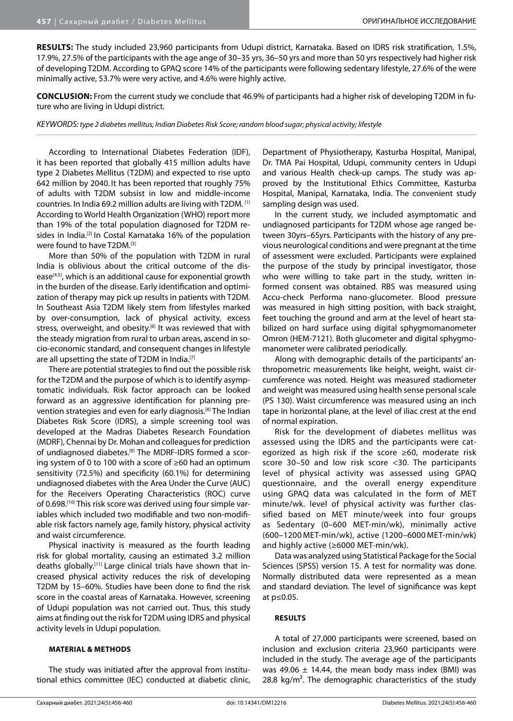**RESULTS:** The study included 23,960 participants from Udupi district, Karnataka. Based on IDRS risk stratification, 1.5%, 17.9%, 27.5% of the participants with the age ange of 30–35 yrs, 36–50 yrs and more than 50 yrs respectively had higher risk of developing T2DM. According to GPAQ score 14% of the participants were following sedentary lifestyle, 27.6% of the were minimally active, 53.7% were very active, and 4.6% were highly active.

**CONCLUSION:** From the current study we conclude that 46.9% of participants had a higher risk of developing T2DM in future who are living in Udupi district.

*KEYWORDS: type 2 diabetes mellitus; Indian Diabetes Risk Score; random blood sugar; physical activity; lifestyle*

According to International Diabetes Federation (IDF), it has been reported that globally 415 million adults have type 2 Diabetes Mellitus (T2DM) and expected to rise upto 642 million by 2040. It has been reported that roughly 75% of adults with T2DM subsist in low and middle-income countries. In India 69.2 million adults are living with T2DM. [1] According to World Health Organization (WHO) report more than 19% of the total population diagnosed for T2DM resides in India.<sup>[2]</sup> In Costal Karnataka 16% of the population were found to have T2DM.[3]

More than 50% of the population with T2DM in rural India is oblivious about the critical outcome of the disease<sup>[4,5]</sup>, which is an additional cause for exponential growth in the burden of the disease. Early identification and optimization of therapy may pick up results in patients with T2DM. In Southeast Asia T2DM likely stem from lifestyles marked by over-consumption, lack of physical activity, excess stress, overweight, and obesity.<sup>[6]</sup> It was reviewed that with the steady migration from rural to urban areas, ascend in socio-economic standard, and consequent changes in lifestyle are all upsetting the state of T2DM in India.<sup>[7]</sup>

There are potential strategies to find out the possible risk for the T2DM and the purpose of which is to identify asymptomatic individuals. Risk factor approach can be looked forward as an aggressive identification for planning prevention strategies and even for early diagnosis.[8] The Indian Diabetes Risk Score (IDRS), a simple screening tool was developed at the Madras Diabetes Research Foundation (MDRF), Chennai by Dr. Mohan and colleagues for prediction of undiagnosed diabetes.<sup>[9]</sup> The MDRF-IDRS formed a scoring system of 0 to 100 with a score of ≥60 had an optimum sensitivity (72.5%) and specificity (60.1%) for determining undiagnosed diabetes with the Area Under the Curve (AUC) for the Receivers Operating Characteristics (ROC) curve of 0.698.<sup>[10]</sup> This risk score was derived using four simple variables which included two modifiable and two non-modifiable risk factors namely age, family history, physical activity and waist circumference.

Physical inactivity is measured as the fourth leading risk for global mortality, causing an estimated 3.2 million deaths globally.[11] Large clinical trials have shown that increased physical activity reduces the risk of developing T2DM by 15–60%. Studies have been done to find the risk score in the coastal areas of Karnataka. However, screening of Udupi population was not carried out. Thus, this study aims at finding out the risk for T2DM using IDRS and physical activity levels in Udupi population.

#### **MATERIAL & METHODS**

The study was initiated after the approval from institutional ethics committee (IEC) conducted at diabetic clinic, Department of Physiotherapy, Kasturba Hospital, Manipal, Dr. TMA Pai Hospital, Udupi, community centers in Udupi and various Health check-up camps. The study was approved by the Institutional Ethics Committee, Kasturba Hospital, Manipal, Karnataka, India. The convenient study sampling design was used.

In the current study, we included asymptomatic and undiagnosed participants for T2DM whose age ranged between 30yrs–65yrs. Participants with the history of any previous neurological conditions and were pregnant at the time of assessment were excluded. Participants were explained the purpose of the study by principal investigator, those who were willing to take part in the study, written informed consent was obtained. RBS was measured using Accu-check Performa nano-glucometer. Blood pressure was measured in high sitting position, with back straight, feet touching the ground and arm at the level of heart stabilized on hard surface using digital sphygmomanometer Omron (HEM-7121). Both glucometer and digital sphygmomanometer were calibrated periodically.

Along with demographic details of the participants' anthropometric measurements like height, weight, waist circumference was noted. Height was measured stadiometer and weight was measured using health sense personal scale (PS 130). Waist circumference was measured using an inch tape in horizontal plane, at the level of iliac crest at the end of normal expiration.

Risk for the development of diabetes mellitus was assessed using the IDRS and the participants were categorized as high risk if the score ≥60, moderate risk score 30–50 and low risk score <30. The participants level of physical activity was assessed using GPAQ questionnaire, and the overall energy expenditure using GPAQ data was calculated in the form of MET minute/wk. level of physical activity was further classified based on MET minute/week into four groups as Sedentary (0–600 MET-min/wk), minimally active (600–1200 MET-min/wk), active (1200–6000 MET-min/wk) and highly active (≥6000 MET-min/wk).

Data was analyzed using Statistical Package for the Social Sciences (SPSS) version 15. A test for normality was done. Normally distributed data were represented as a mean and standard deviation. The level of significance was kept at p≤0.05.

### **RESULTS**

A total of 27,000 participants were screened, based on inclusion and exclusion criteria 23,960 participants were included in the study. The average age of the participants was 49.06  $\pm$  14.44, the mean body mass index (BMI) was 28.8 kg/m². The demographic characteristics of the study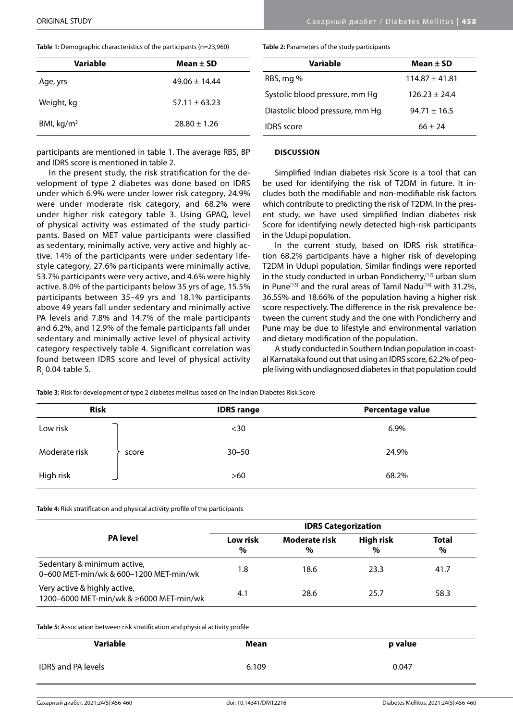$R_{\rm s}$  0.04 table 5.

**Table 1:** Demographic characteristics of the participants (n=23,960)

| Variable     | Mean $\pm$ SD   |
|--------------|-----------------|
| Age, yrs     | $49.06 + 14.44$ |
| Weight, kg   | $57.11 + 63.23$ |
| BMI, $kg/m2$ | $78.80 + 1.26$  |

participants are mentioned in table 1. The average RBS, BP

In the present study, the risk stratification for the development of type 2 diabetes was done based on IDRS under which 6.9% were under lower risk category, 24.9% were under moderate risk category, and 68.2% were under higher risk category table 3. Using GPAQ, level of physical activity was estimated of the study participants. Based on MET value participants were classified as sedentary, minimally active, very active and highly active. 14% of the participants were under sedentary lifestyle category, 27.6% participants were minimally active, 53.7% participants were very active, and 4.6% were highly active. 8.0% of the participants below 35 yrs of age, 15.5% participants between 35–49 yrs and 18.1% participants above 49 years fall under sedentary and minimally active PA levels and 7.8% and 14.7% of the male participants and 6.2%, and 12.9% of the female participants fall under sedentary and minimally active level of physical activity category respectively table 4. Significant correlation was found between IDRS score and level of physical activity

and IDRS score is mentioned in table 2.

**Table 2:** Parameters of the study participants

| Variable                        | Mean $\pm$ SD    |
|---------------------------------|------------------|
| RBS, mg %                       | $114.87 + 41.81$ |
| Systolic blood pressure, mm Hq  | $126.23 + 24.4$  |
| Diastolic blood pressure, mm Hq | $94.71 \pm 16.5$ |
| <b>IDRS</b> score               | $66 + 24$        |

## **DISCUSSION**

Simplified Indian diabetes risk Score is a tool that can be used for identifying the risk of T2DM in future. It includes both the modifiable and non-modifiable risk factors which contribute to predicting the risk of T2DM. In the present study, we have used simplified Indian diabetes risk Score for identifying newly detected high-risk participants in the Udupi population.

In the current study, based on IDRS risk stratification 68.2% participants have a higher risk of developing T2DM in Udupi population. Similar findings were reported in the study conducted in urban Pondicherry,<sup>[12]</sup> urban slum in Pune<sup>[13]</sup> and the rural areas of Tamil Nadu<sup>[14]</sup> with 31.2%, 36.55% and 18.66% of the population having a higher risk score respectively. The difference in the risk prevalence between the current study and the one with Pondicherry and Pune may be due to lifestyle and environmental variation and dietary modification of the population.

A study conducted in Southern Indian population in coastal Karnataka found out that using an IDRS score, 62.2% of people living with undiagnosed diabetes in that population could

**Table 3:** Risk for development of type 2 diabetes mellitus based on The Indian Diabetes Risk Score

| <b>Risk</b>            | <b>IDRS</b> range | Percentage value |
|------------------------|-------------------|------------------|
| Low risk               | $30$              | 6.9%             |
| Moderate risk<br>score | $30 - 50$         | 24.9%            |
| High risk              | $>60$             | 68.2%            |

**Table 4:** Risk stratification and physical activity profile of the participants

|                                                                         | <b>IDRS Categorization</b> |                    |                   |                      |
|-------------------------------------------------------------------------|----------------------------|--------------------|-------------------|----------------------|
| <b>PA</b> level                                                         | Low risk<br>$\%$           | Moderate risk<br>% | High risk<br>$\%$ | <b>Total</b><br>$\%$ |
| Sedentary & minimum active,<br>0-600 MET-min/wk & 600-1200 MET-min/wk   | 1.8                        | 18.6               | 23.3              | 41.7                 |
| Very active & highly active,<br>1200-6000 MET-min/wk & ≥6000 MET-min/wk | 4.1                        | 28.6               | 25.7              | 58.3                 |

**Table 5:** Association between risk stratification and physical activity profile

| Variable                  | Mean  | p value |
|---------------------------|-------|---------|
| <b>IDRS and PA levels</b> | 6.109 | 0.047   |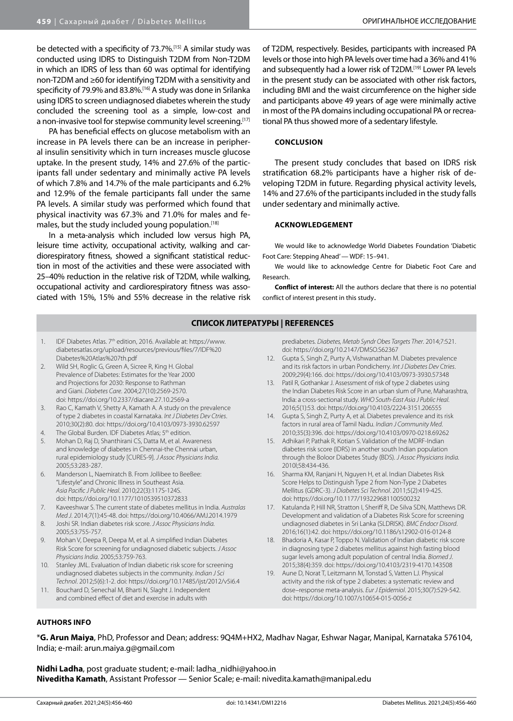be detected with a specificity of 73.7%.[15] A similar study was conducted using IDRS to Distinguish T2DM from Non-T2DM in which an IDRS of less than 60 was optimal for identifying non-T2DM and ≥60 for identifying T2DM with a sensitivity and specificity of 79.9% and 83.8%.[16] A study was done in Srilanka using IDRS to screen undiagnosed diabetes wherein the study concluded the screening tool as a simple, low-cost and a non-invasive tool for stepwise community level screening.[17]

PA has beneficial effects on glucose metabolism with an increase in PA levels there can be an increase in peripheral insulin sensitivity which in turn increases muscle glucose uptake. In the present study, 14% and 27.6% of the participants fall under sedentary and minimally active PA levels of which 7.8% and 14.7% of the male participants and 6.2% and 12.9% of the female participants fall under the same PA levels. A similar study was performed which found that physical inactivity was 67.3% and 71.0% for males and females, but the study included young population.<sup>[18]</sup>

In a meta-analysis which included low versus high PA, leisure time activity, occupational activity, walking and cardiorespiratory fitness, showed a significant statistical reduction in most of the activities and these were associated with 25–40% reduction in the relative risk of T2DM, while walking, occupational activity and cardiorespiratory fitness was associated with 15%, 15% and 55% decrease in the relative risk

of T2DM, respectively. Besides, participants with increased PA levels or those into high PA levels over time had a 36% and 41% and subsequently had a lower risk of T2DM.[19] Lower PA levels in the present study can be associated with other risk factors, including BMI and the waist circumference on the higher side and participants above 49 years of age were minimally active in most of the PA domains including occupational PA or recreational PA thus showed more of a sedentary lifestyle.

## **CONCLUSION**

The present study concludes that based on IDRS risk stratification 68.2% participants have a higher risk of developing T2DM in future. Regarding physical activity levels, 14% and 27.6% of the participants included in the study falls under sedentary and minimally active.

#### **ACKNOWLEDGEMENT**

We would like to acknowledge World Diabetes Foundation 'Diabetic Foot Care: Stepping Ahead' — WDF: 15–941.

We would like to acknowledge Centre for Diabetic Foot Care and Research.

**Conflict of interest:** All the authors declare that there is no potential conflict of interest present in this study.

#### **СПИСОК ЛИТЕРАТУРЫ | REFERENCES**

- 1. IDF Diabetes Atlas. 7<sup>th</sup> edition, 2016. Available at: [https://www.](https://www.diabetesatlas.org/upload/resources/previous/files/7/IDF%20Diabetes%20Atlas%207th.pdf) [diabetesatlas.org/upload/resources/previous/files/7/IDF%20](https://www.diabetesatlas.org/upload/resources/previous/files/7/IDF%20Diabetes%20Atlas%207th.pdf) [Diabetes%20Atlas%207th.pdf](https://www.diabetesatlas.org/upload/resources/previous/files/7/IDF%20Diabetes%20Atlas%207th.pdf)
- 2. Wild SH, Roglic G, Green A, Sicree R, King H. Global Prevalence of Diabetes: Estimates for the Year 2000 and Projections for 2030: Response to Rathman and Giani. *Diabetes Care*. 2004;27(10):2569-2570. doi: https://doi.org/10.2337/diacare.27.10.2569-a
- 3. Rao C, Kamath V, Shetty A, Kamath A. A study on the prevalence of type 2 diabetes in coastal Karnataka. *Int J Diabetes Dev Ctries*. 2010;30(2):80. doi: https://doi.org/10.4103/0973-3930.62597
- 4. The Global Burden. IDF Diabetes Atlas; 5<sup>th</sup> edition.
- 5. Mohan D, Raj D, Shanthirani CS, Datta M, et al. Awareness and knowledge of diabetes in Chennai-the Chennai urban, rural epidemiology study [CURES-9]. *J Assoc Physicians India.* 2005;53:283-287.
- 6. Manderson L, Naemiratch B. From Jollibee to BeeBee: "Lifestyle" and Chronic Illness in Southeast Asia. *Asia Pacific J Public Heal*. 2010;22(3):117S-124S. doi: https://doi.org/10.1177/1010539510372833
- 7. Kaveeshwar S. The current state of diabetes mellitus in India. *Australas Med J*. 2014;7(1):45-48. doi: https://doi.org/10.4066/AMJ.2014.1979
- 8. Joshi SR. Indian diabetes risk score. *J Assoc Physicians India.* 2005;53:755-757.
- 9. Mohan V, Deepa R, Deepa M, et al. A simplified Indian Diabetes Risk Score for screening for undiagnosed diabetic subjects. *J Assoc Physicians India.* 2005;53:759-763.
- 10. Stanley JML. Evaluation of Indian diabetic risk score for screening undiagnosed diabetes subjects in the community. *Indian J Sci Technol*. 2012;5(6):1-2. doi: https://doi.org/10.17485/ijst/2012/v5i6.4
- 11. Bouchard D, Senechal M, Bharti N, Slaght J. Independent and combined effect of diet and exercise in adults with

prediabetes. *Diabetes, Metab Syndr Obes Targets Ther*. 2014;7:521. doi: https://doi.org/10.2147/DMSO.S62367

- 12. Gupta S, Singh Z, Purty A, Vishwanathan M. Diabetes prevalence and its risk factors in urban Pondicherry. *Int J Diabetes Dev Ctries*. 2009;29(4):166. doi: https://doi.org/10.4103/0973-3930.57348
- 13. Patil R, Gothankar J. Assessment of risk of type 2 diabetes using the Indian Diabetes Risk Score in an urban slum of Pune, Maharashtra, India: a cross-sectional study. *WHO South-East Asia J Public Heal*. 2016;5(1):53. doi: https://doi.org/10.4103/2224-3151.206555
- 14. Gupta S, Singh Z, Purty A, et al. Diabetes prevalence and its risk factors in rural area of Tamil Nadu. *Indian J Community Med*. 2010;35(3):396. doi: https://doi.org/10.4103/0970-0218.69262
- 15. Adhikari P, Pathak R, Kotian S. Validation of the MDRF-Indian diabetes risk score (IDRS) in another south Indian population through the Boloor Diabetes Study (BDS). *J Assoc Physicians India.* 2010l;58:434-436.
- 16. Sharma KM, Ranjani H, Nguyen H, et al. Indian Diabetes Risk Score Helps to Distinguish Type 2 from Non-Type 2 Diabetes Mellitus (GDRC-3). *J Diabetes Sci Technol*. 2011;5(2):419-425. doi: https://doi.org/10.1177/193229681100500232
- 17. Katulanda P, Hill NR, Stratton I, Sheriff R, De Silva SDN, Matthews DR. Development and validation of a Diabetes Risk Score for screening undiagnosed diabetes in Sri Lanka (SLDRISK). *BMC Endocr Disord*. 2016;16(1):42. doi: https://doi.org/10.1186/s12902-016-0124-8
- 18. Bhadoria A, Kasar P, Toppo N. Validation of Indian diabetic risk score in diagnosing type 2 diabetes mellitus against high fasting blood sugar levels among adult population of central India. *Biomed J*. 2015;38(4):359. doi: https://doi.org/10.4103/2319-4170.143508
- 19. Aune D, Norat T, Leitzmann M, Tonstad S, Vatten LJ. Physical activity and the risk of type 2 diabetes: a systematic review and dose–response meta-analysis. *Eur J Epidemiol*. 2015;30(7):529-542. doi: https://doi.org/10.1007/s10654-015-0056-z

#### **AUTHORS INFO**

\***G. Arun Maiya**, PhD, Professor and Dean; address: 9Q4M+HX2, Madhav Nagar, Eshwar Nagar, Manipal, Karnataka 576104, India; e-mail: arun.maiya.g@gmail.com

**Nidhi Ladha**, post graduate student; e-mail: ladha\_nidhi@yahoo.in **Niveditha Kamath**, Assistant Professor — Senior Scale; e-mail: nivedita.kamath@manipal.edu